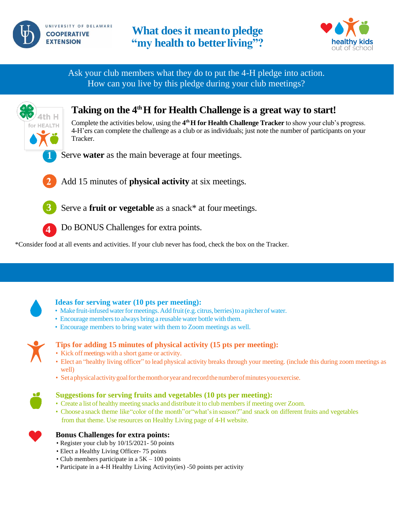



# Ask your club members what they do to put the 4-H pledge into action. How can you live by this pledge during your club meetings?



# Taking on the 4<sup>th</sup> H for Health Challenge is a great way to start!

Complete the activities below, using the 4<sup>th</sup> **H** for Health Challenge Tracker to show your club's progress. 4-H'ers can complete the challenge as a club or as individuals; just note the number of participants on your Tracker.

- Serve **water** as the main beverage at four meetings.
- Add 15 minutes of **physical activity** at six meetings.
- **3**
	- Serve a **fruit or vegetable** as a snack\* at four meetings.
- **4**
	- Do BONUS Challenges for extra points.

\*Consider food at all events and activities. If your club never has food, check the box on the Tracker.



## **Ideas for serving water (10 pts per meeting):**

- Make fruit-infused water for meetings. Add fruit (e.g. citrus, berries) to a pitcher of water.
- Encourage members to always bring a reusable water bottle with them.
- Encourage members to bring water with them to Zoom meetings as well.



# **Tips for adding 15 minutes of physical activity (15 pts per meeting):**

- Kick off meetings with a short game or activity.
- Elect an "healthy living officer" to lead physical activity breaks through your meeting. (include this during zoom meetings as well)
- Setaphysicalactivitygoalforthemonthoryearandrecordthenumberofminutesyouexercise.



## **Suggestions for serving fruits and vegetables (10 pts per meeting):**

- Create a list of healthy meeting snacks and distribute it to club members if meeting over Zoom.
- Choosea snack theme like"color ofthe month"or"what'sin season?"and snack on different fruits and vegetables from that theme. Use resources on Healthy Living page of 4-H website.



## **Bonus Challenges for extra points:**

- Register your club by 10/15/2021- 50 points
- Elect a Healthy Living Officer- 75 points
- Club members participate in a  $5K 100$  points
- Participate in a 4-H Healthy Living Activity(ies) -50 points per activity